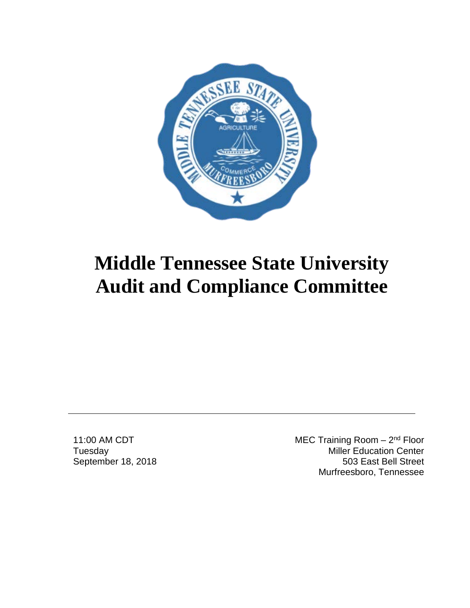

11:00 AM CDT **Tuesday** September 18, 2018 MEC Training Room - 2<sup>nd</sup> Floor Miller Education Center 503 East Bell Street Murfreesboro, Tennessee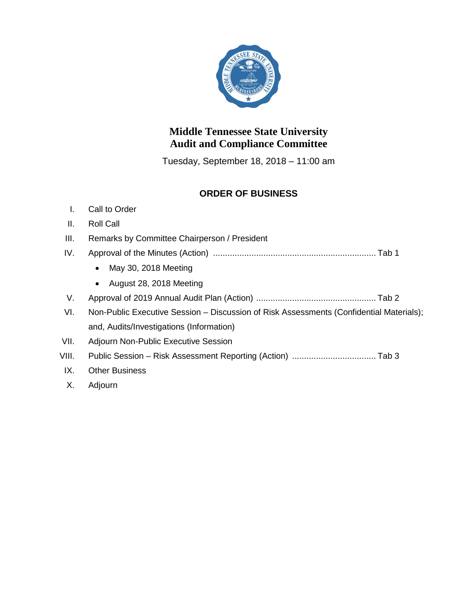

Tuesday, September 18, 2018 – 11:00 am

#### **ORDER OF BUSINESS**

#### I. Call to Order

#### II. Roll Call

- III. Remarks by Committee Chairperson / President
- IV. Approval of the Minutes (Action) .................................................................... Tab 1
	- May 30, 2018 Meeting
	- August 28, 2018 Meeting

#### V. Approval of 2019 Annual Audit Plan (Action) .................................................. Tab 2

- VI. Non-Public Executive Session Discussion of Risk Assessments (Confidential Materials); and, Audits/Investigations (Information)
- VII. Adjourn Non-Public Executive Session
- VIII. Public Session Risk Assessment Reporting (Action) ................................... Tab 3
- IX. Other Business
- X. Adjourn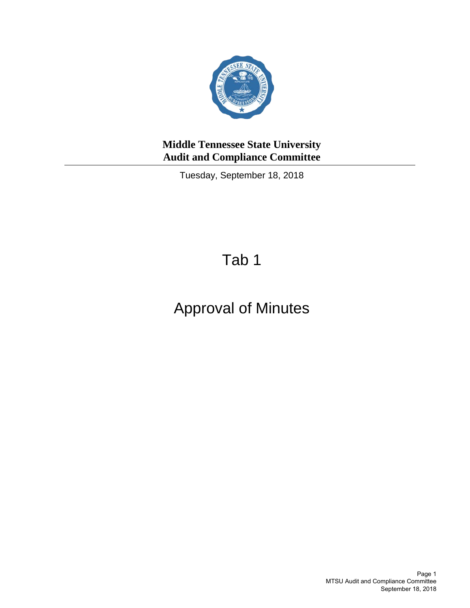

Tuesday, September 18, 2018

## Tab 1

## Approval of Minutes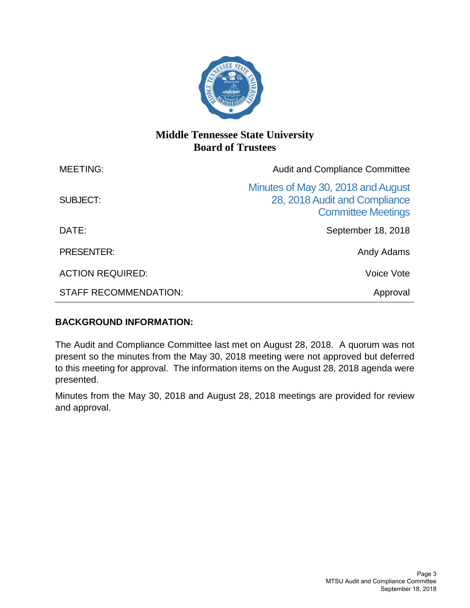

### **Middle Tennessee State University Board of Trustees**

| <b>MEETING:</b>              | <b>Audit and Compliance Committee</b>                                                            |  |
|------------------------------|--------------------------------------------------------------------------------------------------|--|
| SUBJECT:                     | Minutes of May 30, 2018 and August<br>28, 2018 Audit and Compliance<br><b>Committee Meetings</b> |  |
| DATE:                        | September 18, 2018                                                                               |  |
| <b>PRESENTER:</b>            | Andy Adams                                                                                       |  |
| <b>ACTION REQUIRED:</b>      | Voice Vote                                                                                       |  |
| <b>STAFF RECOMMENDATION:</b> | Approval                                                                                         |  |

#### **BACKGROUND INFORMATION:**

The Audit and Compliance Committee last met on August 28, 2018. A quorum was not present so the minutes from the May 30, 2018 meeting were not approved but deferred to this meeting for approval. The information items on the August 28, 2018 agenda were presented.

Minutes from the May 30, 2018 and August 28, 2018 meetings are provided for review and approval.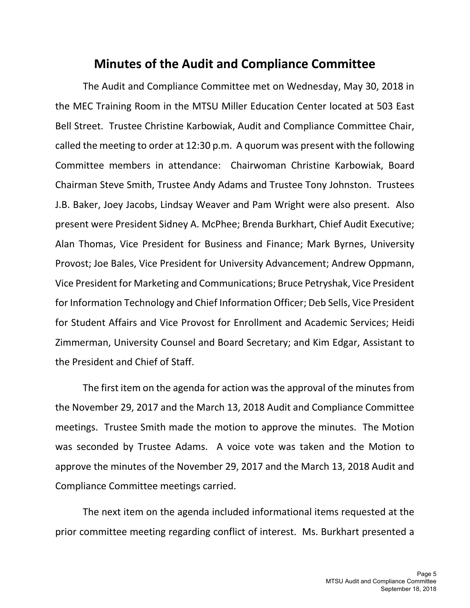## **Minutes of the Audit and Compliance Committee**

The Audit and Compliance Committee met on Wednesday, May 30, 2018 in the MEC Training Room in the MTSU Miller Education Center located at 503 East Bell Street. Trustee Christine Karbowiak, Audit and Compliance Committee Chair, called the meeting to order at 12:30 p.m. A quorum was present with the following Committee members in attendance: Chairwoman Christine Karbowiak, Board Chairman Steve Smith, Trustee Andy Adams and Trustee Tony Johnston. Trustees J.B. Baker, Joey Jacobs, Lindsay Weaver and Pam Wright were also present. Also present were President Sidney A. McPhee; Brenda Burkhart, Chief Audit Executive; Alan Thomas, Vice President for Business and Finance; Mark Byrnes, University Provost; Joe Bales, Vice President for University Advancement; Andrew Oppmann, Vice President for Marketing and Communications; Bruce Petryshak, Vice President for Information Technology and Chief Information Officer; Deb Sells, Vice President for Student Affairs and Vice Provost for Enrollment and Academic Services; Heidi Zimmerman, University Counsel and Board Secretary; and Kim Edgar, Assistant to the President and Chief of Staff.

The first item on the agenda for action was the approval of the minutes from the November 29, 2017 and the March 13, 2018 Audit and Compliance Committee meetings. Trustee Smith made the motion to approve the minutes. The Motion was seconded by Trustee Adams. A voice vote was taken and the Motion to approve the minutes of the November 29, 2017 and the March 13, 2018 Audit and Compliance Committee meetings carried.

The next item on the agenda included informational items requested at the prior committee meeting regarding conflict of interest. Ms. Burkhart presented a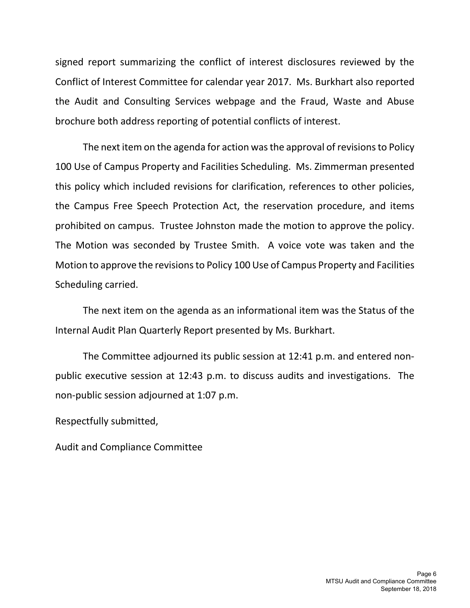signed report summarizing the conflict of interest disclosures reviewed by the Conflict of Interest Committee for calendar year 2017. Ms. Burkhart also reported the Audit and Consulting Services webpage and the Fraud, Waste and Abuse brochure both address reporting of potential conflicts of interest.

The next item on the agenda for action was the approval of revisions to Policy 100 Use of Campus Property and Facilities Scheduling. Ms. Zimmerman presented this policy which included revisions for clarification, references to other policies, the Campus Free Speech Protection Act, the reservation procedure, and items prohibited on campus. Trustee Johnston made the motion to approve the policy. The Motion was seconded by Trustee Smith. A voice vote was taken and the Motion to approve the revisions to Policy 100 Use of Campus Property and Facilities Scheduling carried.

The next item on the agenda as an informational item was the Status of the Internal Audit Plan Quarterly Report presented by Ms. Burkhart.

The Committee adjourned its public session at 12:41 p.m. and entered nonpublic executive session at 12:43 p.m. to discuss audits and investigations. The non-public session adjourned at 1:07 p.m.

Respectfully submitted,

Audit and Compliance Committee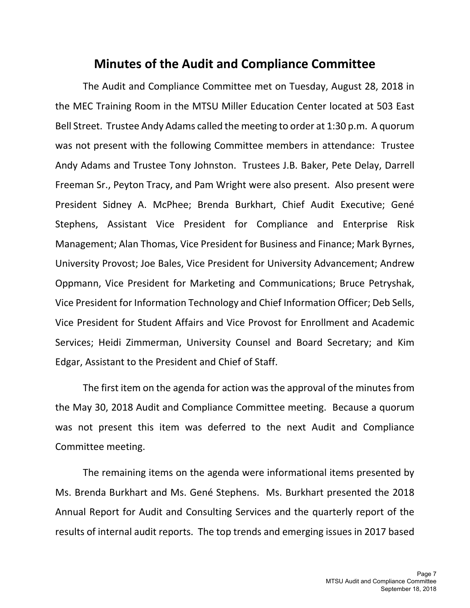## **Minutes of the Audit and Compliance Committee**

The Audit and Compliance Committee met on Tuesday, August 28, 2018 in the MEC Training Room in the MTSU Miller Education Center located at 503 East Bell Street. Trustee Andy Adams called the meeting to order at 1:30 p.m. A quorum was not present with the following Committee members in attendance: Trustee Andy Adams and Trustee Tony Johnston. Trustees J.B. Baker, Pete Delay, Darrell Freeman Sr., Peyton Tracy, and Pam Wright were also present. Also present were President Sidney A. McPhee; Brenda Burkhart, Chief Audit Executive; Gené Stephens, Assistant Vice President for Compliance and Enterprise Risk Management; Alan Thomas, Vice President for Business and Finance; Mark Byrnes, University Provost; Joe Bales, Vice President for University Advancement; Andrew Oppmann, Vice President for Marketing and Communications; Bruce Petryshak, Vice President for Information Technology and Chief Information Officer; Deb Sells, Vice President for Student Affairs and Vice Provost for Enrollment and Academic Services; Heidi Zimmerman, University Counsel and Board Secretary; and Kim Edgar, Assistant to the President and Chief of Staff.

The first item on the agenda for action was the approval of the minutes from the May 30, 2018 Audit and Compliance Committee meeting. Because a quorum was not present this item was deferred to the next Audit and Compliance Committee meeting.

The remaining items on the agenda were informational items presented by Ms. Brenda Burkhart and Ms. Gené Stephens. Ms. Burkhart presented the 2018 Annual Report for Audit and Consulting Services and the quarterly report of the results of internal audit reports. The top trends and emerging issues in 2017 based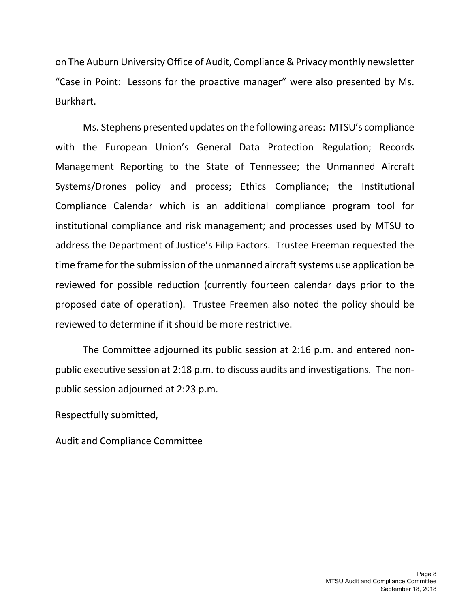on The Auburn University Office of Audit, Compliance & Privacy monthly newsletter "Case in Point: Lessons for the proactive manager" were also presented by Ms. Burkhart.

Ms. Stephens presented updates on the following areas: MTSU's compliance with the European Union's General Data Protection Regulation; Records Management Reporting to the State of Tennessee; the Unmanned Aircraft Systems/Drones policy and process; Ethics Compliance; the Institutional Compliance Calendar which is an additional compliance program tool for institutional compliance and risk management; and processes used by MTSU to address the Department of Justice's Filip Factors. Trustee Freeman requested the time frame for the submission of the unmanned aircraft systems use application be reviewed for possible reduction (currently fourteen calendar days prior to the proposed date of operation). Trustee Freemen also noted the policy should be reviewed to determine if it should be more restrictive.

The Committee adjourned its public session at 2:16 p.m. and entered nonpublic executive session at 2:18 p.m. to discuss audits and investigations. The nonpublic session adjourned at 2:23 p.m.

Respectfully submitted,

Audit and Compliance Committee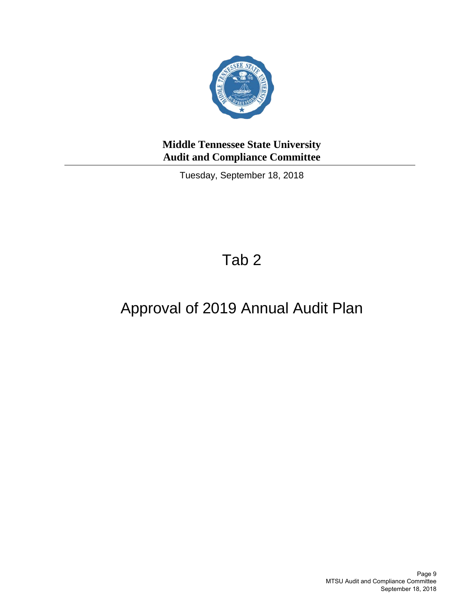

Tuesday, September 18, 2018

## Tab 2

## Approval of 2019 Annual Audit Plan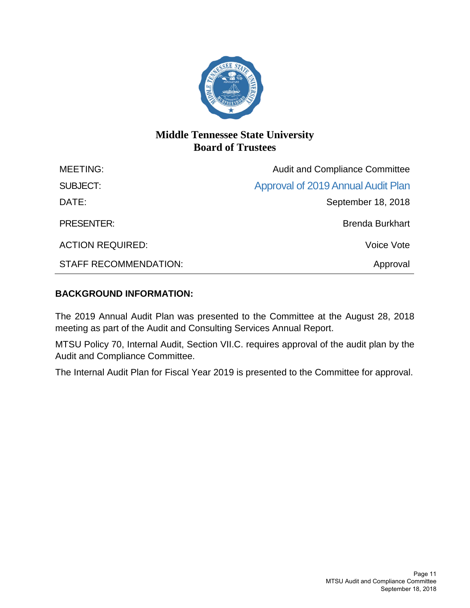

### **Middle Tennessee State University Board of Trustees**

| <b>MEETING:</b>              | <b>Audit and Compliance Committee</b> |  |
|------------------------------|---------------------------------------|--|
| <b>SUBJECT:</b>              | Approval of 2019 Annual Audit Plan    |  |
| DATE:                        | September 18, 2018                    |  |
| <b>PRESENTER:</b>            | <b>Brenda Burkhart</b>                |  |
| <b>ACTION REQUIRED:</b>      | Voice Vote                            |  |
| <b>STAFF RECOMMENDATION:</b> | Approval                              |  |

#### **BACKGROUND INFORMATION:**

The 2019 Annual Audit Plan was presented to the Committee at the August 28, 2018 meeting as part of the Audit and Consulting Services Annual Report.

MTSU Policy 70, Internal Audit, Section VII.C. requires approval of the audit plan by the Audit and Compliance Committee.

The Internal Audit Plan for Fiscal Year 2019 is presented to the Committee for approval.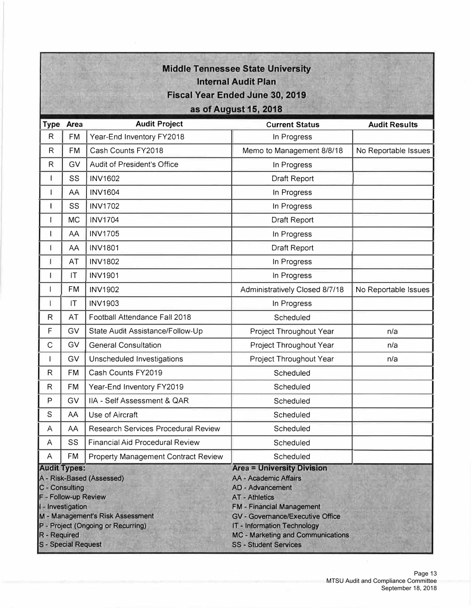| <b>Middle Tennessee State University</b><br><b>Internal Audit Plan</b><br><b>Fiscal Year Ended June 30, 2019</b> |                                     |                                                                                                     |                                                                                                                                                                                                                                                                                                                        |                      |  |
|------------------------------------------------------------------------------------------------------------------|-------------------------------------|-----------------------------------------------------------------------------------------------------|------------------------------------------------------------------------------------------------------------------------------------------------------------------------------------------------------------------------------------------------------------------------------------------------------------------------|----------------------|--|
| as of August 15, 2018                                                                                            |                                     |                                                                                                     |                                                                                                                                                                                                                                                                                                                        |                      |  |
|                                                                                                                  | Type Area                           | <b>Audit Project</b>                                                                                | <b>Current Status</b>                                                                                                                                                                                                                                                                                                  | <b>Audit Results</b> |  |
| R                                                                                                                | <b>FM</b>                           | Year-End Inventory FY2018                                                                           | In Progress                                                                                                                                                                                                                                                                                                            |                      |  |
| $\mathsf R$                                                                                                      | <b>FM</b>                           | Cash Counts FY2018                                                                                  | Memo to Management 8/8/18                                                                                                                                                                                                                                                                                              | No Reportable Issues |  |
| $\mathsf{R}$                                                                                                     | GV                                  | Audit of President's Office                                                                         | In Progress                                                                                                                                                                                                                                                                                                            |                      |  |
| T                                                                                                                | SS                                  | <b>INV1602</b>                                                                                      | Draft Report                                                                                                                                                                                                                                                                                                           |                      |  |
|                                                                                                                  | AA                                  | <b>INV1604</b>                                                                                      | In Progress                                                                                                                                                                                                                                                                                                            |                      |  |
| 1                                                                                                                | SS                                  | <b>INV1702</b>                                                                                      | In Progress                                                                                                                                                                                                                                                                                                            |                      |  |
| ı                                                                                                                | <b>MC</b>                           | <b>INV1704</b>                                                                                      | Draft Report                                                                                                                                                                                                                                                                                                           |                      |  |
| 1                                                                                                                | AA                                  | <b>INV1705</b>                                                                                      | In Progress                                                                                                                                                                                                                                                                                                            |                      |  |
| $\mathsf{l}$                                                                                                     | AA                                  | <b>INV1801</b>                                                                                      | Draft Report                                                                                                                                                                                                                                                                                                           |                      |  |
| 1                                                                                                                | AT                                  | <b>INV1802</b>                                                                                      | In Progress                                                                                                                                                                                                                                                                                                            |                      |  |
| $\mathsf{I}$                                                                                                     | T                                   | <b>INV1901</b>                                                                                      | In Progress                                                                                                                                                                                                                                                                                                            |                      |  |
|                                                                                                                  | <b>FM</b>                           | <b>INV1902</b>                                                                                      | Administratively Closed 8/7/18                                                                                                                                                                                                                                                                                         | No Reportable Issues |  |
| I                                                                                                                | T                                   | <b>INV1903</b>                                                                                      | In Progress                                                                                                                                                                                                                                                                                                            |                      |  |
| $\mathsf{R}$                                                                                                     | AT                                  | Football Attendance Fall 2018                                                                       | Scheduled                                                                                                                                                                                                                                                                                                              |                      |  |
| F                                                                                                                | GV                                  | State Audit Assistance/Follow-Up                                                                    | Project Throughout Year                                                                                                                                                                                                                                                                                                | n/a                  |  |
| C                                                                                                                | GV                                  | <b>General Consultation</b>                                                                         | Project Throughout Year                                                                                                                                                                                                                                                                                                | n/a                  |  |
| $\mathbf{I}$                                                                                                     | GV                                  | Unscheduled Investigations                                                                          | Project Throughout Year                                                                                                                                                                                                                                                                                                | n/a                  |  |
| $\mathsf R$                                                                                                      | <b>FM</b>                           | Cash Counts FY2019                                                                                  | Scheduled                                                                                                                                                                                                                                                                                                              |                      |  |
| ${\sf R}$                                                                                                        | <b>FM</b>                           | Year-End Inventory FY2019                                                                           | Scheduled                                                                                                                                                                                                                                                                                                              |                      |  |
| P                                                                                                                | GV                                  | IIA - Self Assessment & QAR                                                                         | Scheduled                                                                                                                                                                                                                                                                                                              |                      |  |
| S                                                                                                                | AA                                  | Use of Aircraft                                                                                     | Scheduled                                                                                                                                                                                                                                                                                                              |                      |  |
| A                                                                                                                | AA                                  | <b>Research Services Procedural Review</b>                                                          | Scheduled                                                                                                                                                                                                                                                                                                              |                      |  |
| A                                                                                                                | SS                                  | <b>Financial Aid Procedural Review</b>                                                              | Scheduled                                                                                                                                                                                                                                                                                                              |                      |  |
| A                                                                                                                | <b>FM</b>                           | Property Management Contract Review                                                                 | Scheduled                                                                                                                                                                                                                                                                                                              |                      |  |
| <b>Audit Types:</b><br>F - Follow-up Review<br>R - Required<br>S - Special Request                               | C - Consulting<br>I - Investigation | A - Risk-Based (Assessed)<br>M - Management's Risk Assessment<br>P - Project (Ongoing or Recurring) | <b>Area = University Division</b><br><b>AA - Academic Affairs</b><br><b>AD - Advancement</b><br><b>AT - Athletics</b><br><b>FM - Financial Management</b><br><b>GV - Governance/Executive Office</b><br><b>IT - Information Technology</b><br><b>MC - Marketing and Communications</b><br><b>SS - Student Services</b> |                      |  |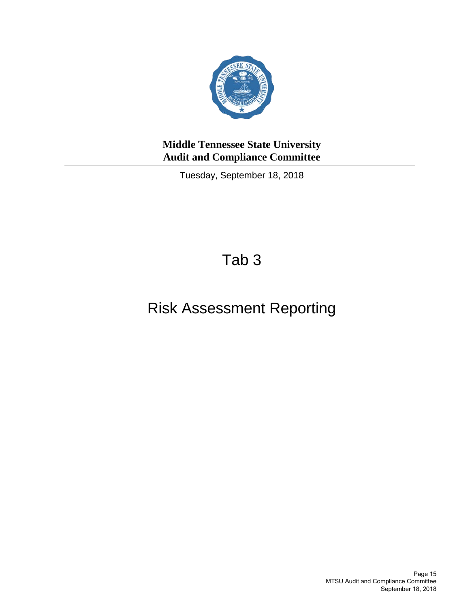

Tuesday, September 18, 2018

## Tab 3

## Risk Assessment Reporting